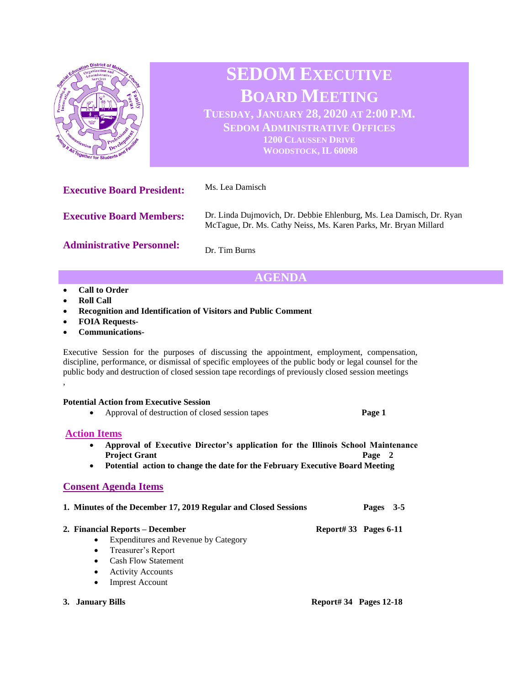

Executive Session for the purposes of discussing the appointment, employment, compensation, discipline, performance, or dismissal of specific employees of the public body or legal counsel for the public body and destruction of closed session tape recordings of previously closed session meetings ,

#### **Potential Action from Executive Session**

| Approval of destruction of closed session tapes | Page 1 |
|-------------------------------------------------|--------|
|                                                 |        |

## **Action Items**

| Approval of Executive Director's application for the Illinois School Maintenance |        |
|----------------------------------------------------------------------------------|--------|
| <b>Project Grant</b>                                                             | Page 2 |

• **Potential action to change the date for the February Executive Board Meeting** 

### **Consent Agenda Items**

| 1. Minutes of the December 17, 2019 Regular and Closed Sessions<br>Pages 3-5 |  |
|------------------------------------------------------------------------------|--|
|                                                                              |  |

**2. Financial Reports – December Report# 33 Pages 6-11**

- Expenditures and Revenue by Category
- Treasurer's Report
- Cash Flow Statement
- Activity Accounts
- Imprest Account
-